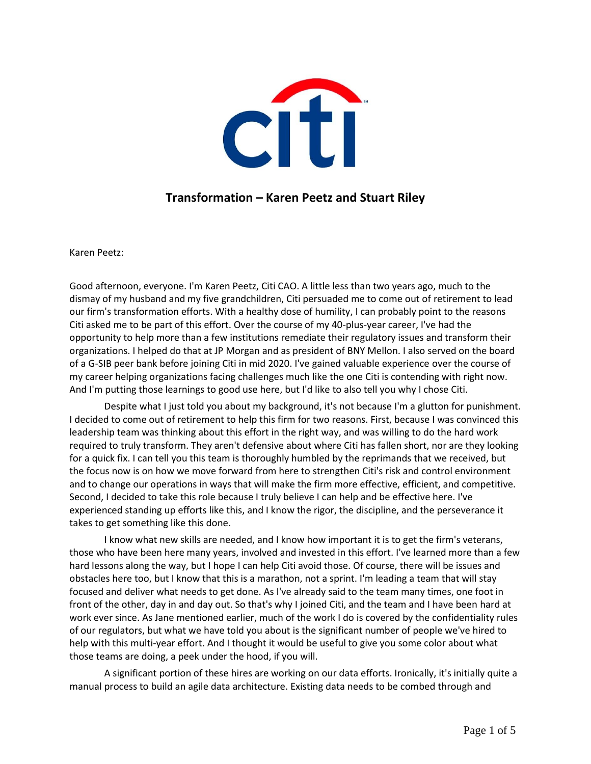

## **Transformation – Karen Peetz and Stuart Riley**

Karen Peetz:

Good afternoon, everyone. I'm Karen Peetz, Citi CAO. A little less than two years ago, much to the dismay of my husband and my five grandchildren, Citi persuaded me to come out of retirement to lead our firm's transformation efforts. With a healthy dose of humility, I can probably point to the reasons Citi asked me to be part of this effort. Over the course of my 40-plus-year career, I've had the opportunity to help more than a few institutions remediate their regulatory issues and transform their organizations. I helped do that at JP Morgan and as president of BNY Mellon. I also served on the board of a G-SIB peer bank before joining Citi in mid 2020. I've gained valuable experience over the course of my career helping organizations facing challenges much like the one Citi is contending with right now. And I'm putting those learnings to good use here, but I'd like to also tell you why I chose Citi.

Despite what I just told you about my background, it's not because I'm a glutton for punishment. I decided to come out of retirement to help this firm for two reasons. First, because I was convinced this leadership team was thinking about this effort in the right way, and was willing to do the hard work required to truly transform. They aren't defensive about where Citi has fallen short, nor are they looking for a quick fix. I can tell you this team is thoroughly humbled by the reprimands that we received, but the focus now is on how we move forward from here to strengthen Citi's risk and control environment and to change our operations in ways that will make the firm more effective, efficient, and competitive. Second, I decided to take this role because I truly believe I can help and be effective here. I've experienced standing up efforts like this, and I know the rigor, the discipline, and the perseverance it takes to get something like this done.

I know what new skills are needed, and I know how important it is to get the firm's veterans, those who have been here many years, involved and invested in this effort. I've learned more than a few hard lessons along the way, but I hope I can help Citi avoid those. Of course, there will be issues and obstacles here too, but I know that this is a marathon, not a sprint. I'm leading a team that will stay focused and deliver what needs to get done. As I've already said to the team many times, one foot in front of the other, day in and day out. So that's why I joined Citi, and the team and I have been hard at work ever since. As Jane mentioned earlier, much of the work I do is covered by the confidentiality rules of our regulators, but what we have told you about is the significant number of people we've hired to help with this multi-year effort. And I thought it would be useful to give you some color about what those teams are doing, a peek under the hood, if you will.

A significant portion of these hires are working on our data efforts. Ironically, it's initially quite a manual process to build an agile data architecture. Existing data needs to be combed through and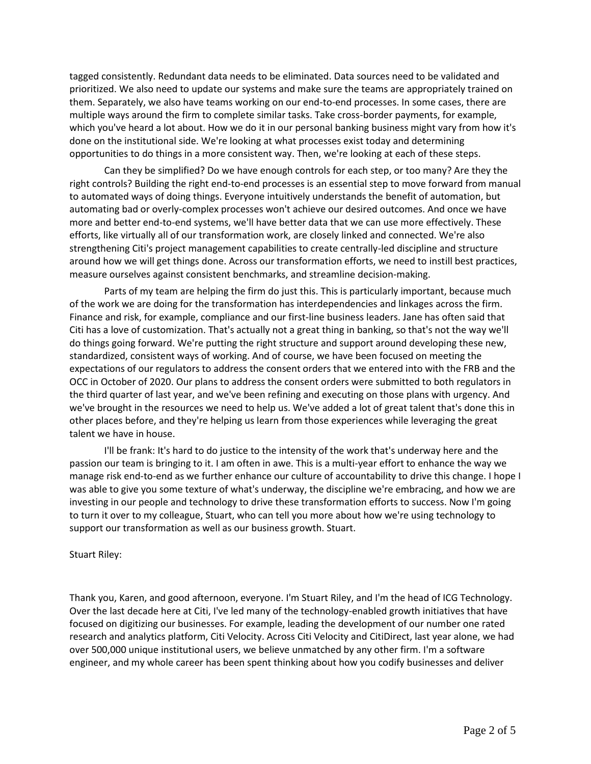tagged consistently. Redundant data needs to be eliminated. Data sources need to be validated and prioritized. We also need to update our systems and make sure the teams are appropriately trained on them. Separately, we also have teams working on our end-to-end processes. In some cases, there are multiple ways around the firm to complete similar tasks. Take cross-border payments, for example, which you've heard a lot about. How we do it in our personal banking business might vary from how it's done on the institutional side. We're looking at what processes exist today and determining opportunities to do things in a more consistent way. Then, we're looking at each of these steps.

Can they be simplified? Do we have enough controls for each step, or too many? Are they the right controls? Building the right end-to-end processes is an essential step to move forward from manual to automated ways of doing things. Everyone intuitively understands the benefit of automation, but automating bad or overly-complex processes won't achieve our desired outcomes. And once we have more and better end-to-end systems, we'll have better data that we can use more effectively. These efforts, like virtually all of our transformation work, are closely linked and connected. We're also strengthening Citi's project management capabilities to create centrally-led discipline and structure around how we will get things done. Across our transformation efforts, we need to instill best practices, measure ourselves against consistent benchmarks, and streamline decision-making.

Parts of my team are helping the firm do just this. This is particularly important, because much of the work we are doing for the transformation has interdependencies and linkages across the firm. Finance and risk, for example, compliance and our first-line business leaders. Jane has often said that Citi has a love of customization. That's actually not a great thing in banking, so that's not the way we'll do things going forward. We're putting the right structure and support around developing these new, standardized, consistent ways of working. And of course, we have been focused on meeting the expectations of our regulators to address the consent orders that we entered into with the FRB and the OCC in October of 2020. Our plans to address the consent orders were submitted to both regulators in the third quarter of last year, and we've been refining and executing on those plans with urgency. And we've brought in the resources we need to help us. We've added a lot of great talent that's done this in other places before, and they're helping us learn from those experiences while leveraging the great talent we have in house.

I'll be frank: It's hard to do justice to the intensity of the work that's underway here and the passion our team is bringing to it. I am often in awe. This is a multi-year effort to enhance the way we manage risk end-to-end as we further enhance our culture of accountability to drive this change. I hope I was able to give you some texture of what's underway, the discipline we're embracing, and how we are investing in our people and technology to drive these transformation efforts to success. Now I'm going to turn it over to my colleague, Stuart, who can tell you more about how we're using technology to support our transformation as well as our business growth. Stuart.

## Stuart Riley:

Thank you, Karen, and good afternoon, everyone. I'm Stuart Riley, and I'm the head of ICG Technology. Over the last decade here at Citi, I've led many of the technology-enabled growth initiatives that have focused on digitizing our businesses. For example, leading the development of our number one rated research and analytics platform, Citi Velocity. Across Citi Velocity and CitiDirect, last year alone, we had over 500,000 unique institutional users, we believe unmatched by any other firm. I'm a software engineer, and my whole career has been spent thinking about how you codify businesses and deliver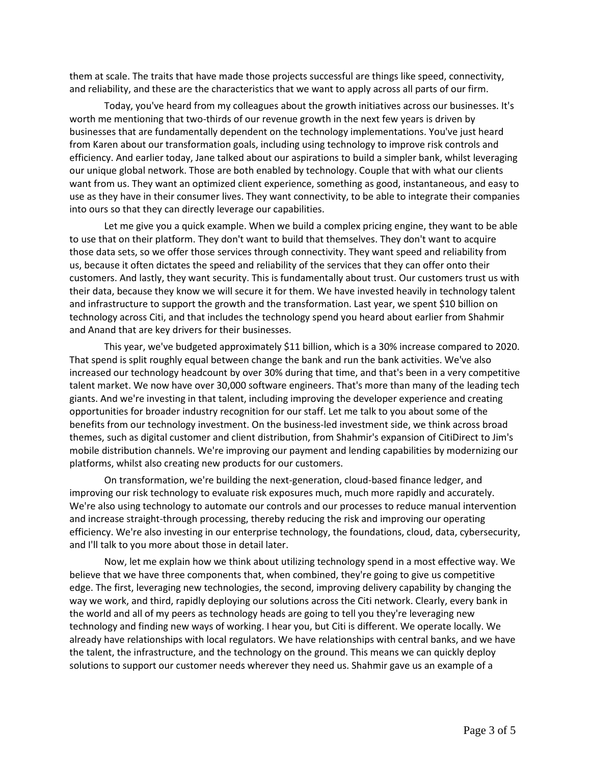them at scale. The traits that have made those projects successful are things like speed, connectivity, and reliability, and these are the characteristics that we want to apply across all parts of our firm.

Today, you've heard from my colleagues about the growth initiatives across our businesses. It's worth me mentioning that two-thirds of our revenue growth in the next few years is driven by businesses that are fundamentally dependent on the technology implementations. You've just heard from Karen about our transformation goals, including using technology to improve risk controls and efficiency. And earlier today, Jane talked about our aspirations to build a simpler bank, whilst leveraging our unique global network. Those are both enabled by technology. Couple that with what our clients want from us. They want an optimized client experience, something as good, instantaneous, and easy to use as they have in their consumer lives. They want connectivity, to be able to integrate their companies into ours so that they can directly leverage our capabilities.

Let me give you a quick example. When we build a complex pricing engine, they want to be able to use that on their platform. They don't want to build that themselves. They don't want to acquire those data sets, so we offer those services through connectivity. They want speed and reliability from us, because it often dictates the speed and reliability of the services that they can offer onto their customers. And lastly, they want security. This is fundamentally about trust. Our customers trust us with their data, because they know we will secure it for them. We have invested heavily in technology talent and infrastructure to support the growth and the transformation. Last year, we spent \$10 billion on technology across Citi, and that includes the technology spend you heard about earlier from Shahmir and Anand that are key drivers for their businesses.

This year, we've budgeted approximately \$11 billion, which is a 30% increase compared to 2020. That spend is split roughly equal between change the bank and run the bank activities. We've also increased our technology headcount by over 30% during that time, and that's been in a very competitive talent market. We now have over 30,000 software engineers. That's more than many of the leading tech giants. And we're investing in that talent, including improving the developer experience and creating opportunities for broader industry recognition for our staff. Let me talk to you about some of the benefits from our technology investment. On the business-led investment side, we think across broad themes, such as digital customer and client distribution, from Shahmir's expansion of CitiDirect to Jim's mobile distribution channels. We're improving our payment and lending capabilities by modernizing our platforms, whilst also creating new products for our customers.

On transformation, we're building the next-generation, cloud-based finance ledger, and improving our risk technology to evaluate risk exposures much, much more rapidly and accurately. We're also using technology to automate our controls and our processes to reduce manual intervention and increase straight-through processing, thereby reducing the risk and improving our operating efficiency. We're also investing in our enterprise technology, the foundations, cloud, data, cybersecurity, and I'll talk to you more about those in detail later.

Now, let me explain how we think about utilizing technology spend in a most effective way. We believe that we have three components that, when combined, they're going to give us competitive edge. The first, leveraging new technologies, the second, improving delivery capability by changing the way we work, and third, rapidly deploying our solutions across the Citi network. Clearly, every bank in the world and all of my peers as technology heads are going to tell you they're leveraging new technology and finding new ways of working. I hear you, but Citi is different. We operate locally. We already have relationships with local regulators. We have relationships with central banks, and we have the talent, the infrastructure, and the technology on the ground. This means we can quickly deploy solutions to support our customer needs wherever they need us. Shahmir gave us an example of a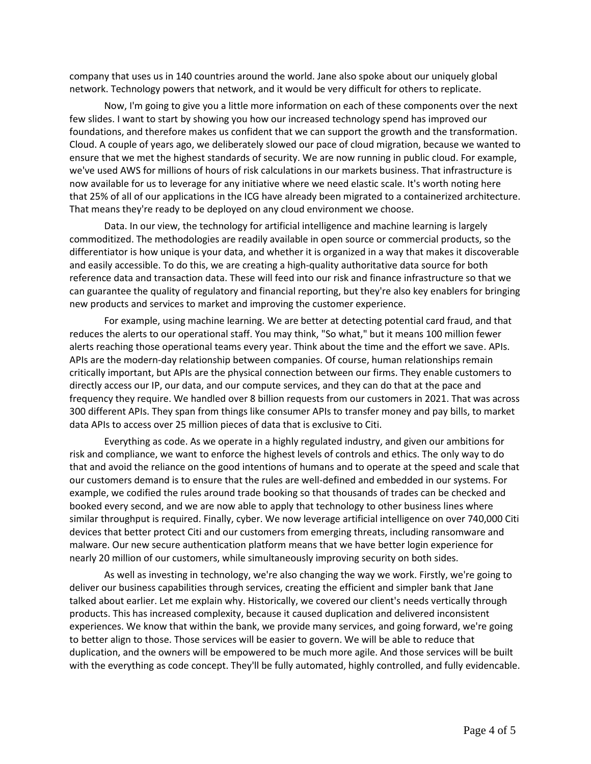company that uses us in 140 countries around the world. Jane also spoke about our uniquely global network. Technology powers that network, and it would be very difficult for others to replicate.

Now, I'm going to give you a little more information on each of these components over the next few slides. I want to start by showing you how our increased technology spend has improved our foundations, and therefore makes us confident that we can support the growth and the transformation. Cloud. A couple of years ago, we deliberately slowed our pace of cloud migration, because we wanted to ensure that we met the highest standards of security. We are now running in public cloud. For example, we've used AWS for millions of hours of risk calculations in our markets business. That infrastructure is now available for us to leverage for any initiative where we need elastic scale. It's worth noting here that 25% of all of our applications in the ICG have already been migrated to a containerized architecture. That means they're ready to be deployed on any cloud environment we choose.

Data. In our view, the technology for artificial intelligence and machine learning is largely commoditized. The methodologies are readily available in open source or commercial products, so the differentiator is how unique is your data, and whether it is organized in a way that makes it discoverable and easily accessible. To do this, we are creating a high-quality authoritative data source for both reference data and transaction data. These will feed into our risk and finance infrastructure so that we can guarantee the quality of regulatory and financial reporting, but they're also key enablers for bringing new products and services to market and improving the customer experience.

For example, using machine learning. We are better at detecting potential card fraud, and that reduces the alerts to our operational staff. You may think, "So what," but it means 100 million fewer alerts reaching those operational teams every year. Think about the time and the effort we save. APIs. APIs are the modern-day relationship between companies. Of course, human relationships remain critically important, but APIs are the physical connection between our firms. They enable customers to directly access our IP, our data, and our compute services, and they can do that at the pace and frequency they require. We handled over 8 billion requests from our customers in 2021. That was across 300 different APIs. They span from things like consumer APIs to transfer money and pay bills, to market data APIs to access over 25 million pieces of data that is exclusive to Citi.

Everything as code. As we operate in a highly regulated industry, and given our ambitions for risk and compliance, we want to enforce the highest levels of controls and ethics. The only way to do that and avoid the reliance on the good intentions of humans and to operate at the speed and scale that our customers demand is to ensure that the rules are well-defined and embedded in our systems. For example, we codified the rules around trade booking so that thousands of trades can be checked and booked every second, and we are now able to apply that technology to other business lines where similar throughput is required. Finally, cyber. We now leverage artificial intelligence on over 740,000 Citi devices that better protect Citi and our customers from emerging threats, including ransomware and malware. Our new secure authentication platform means that we have better login experience for nearly 20 million of our customers, while simultaneously improving security on both sides.

As well as investing in technology, we're also changing the way we work. Firstly, we're going to deliver our business capabilities through services, creating the efficient and simpler bank that Jane talked about earlier. Let me explain why. Historically, we covered our client's needs vertically through products. This has increased complexity, because it caused duplication and delivered inconsistent experiences. We know that within the bank, we provide many services, and going forward, we're going to better align to those. Those services will be easier to govern. We will be able to reduce that duplication, and the owners will be empowered to be much more agile. And those services will be built with the everything as code concept. They'll be fully automated, highly controlled, and fully evidencable.